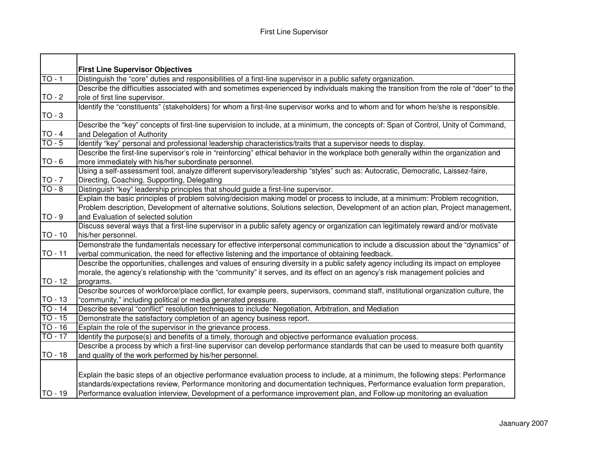|                      | <b>First Line Supervisor Objectives</b>                                                                                                 |
|----------------------|-----------------------------------------------------------------------------------------------------------------------------------------|
| $TO - 1$             | Distinguish the "core" duties and responsibilities of a first-line supervisor in a public safety organization.                          |
|                      | Describe the difficulties associated with and sometimes experienced by individuals making the transition from the role of "doer" to the |
| $TO - 2$             | role of first line supervisor.                                                                                                          |
|                      | Identify the "constituents" (stakeholders) for whom a first-line supervisor works and to whom and for whom he/she is responsible.       |
| $TO - 3$             |                                                                                                                                         |
|                      | Describe the "key" concepts of first-line supervision to include, at a minimum, the concepts of: Span of Control, Unity of Command,     |
| $TO - 4$             | and Delegation of Authority                                                                                                             |
| $TO - 5$             | Identify "key" personal and professional leadership characteristics/traits that a supervisor needs to display.                          |
|                      | Describe the first-line supervisor's role in "reinforcing" ethical behavior in the workplace both generally within the organization and |
| $TO - 6$             | more immediately with his/her subordinate personnel.                                                                                    |
|                      | Using a self-assessment tool, analyze different supervisory/leadership "styles" such as: Autocratic, Democratic, Laissez-faire,         |
| $TO - 7$             | Directing, Coaching, Supporting, Delegating                                                                                             |
| $TO - 8$             | Distinguish "key" leadership principles that should guide a first-line supervisor.                                                      |
|                      | Explain the basic principles of problem solving/decision making model or process to include, at a minimum: Problem recognition,         |
|                      | Problem description, Development of alternative solutions, Solutions selection, Development of an action plan, Project management,      |
| $TO - 9$             | and Evaluation of selected solution                                                                                                     |
|                      | Discuss several ways that a first-line supervisor in a public safety agency or organization can legitimately reward and/or motivate     |
| $TO - 10$            | his/her personnel.                                                                                                                      |
|                      | Demonstrate the fundamentals necessary for effective interpersonal communication to include a discussion about the "dynamics" of        |
| $TO - 11$            | verbal communication, the need for effective listening and the importance of obtaining feedback.                                        |
|                      | Describe the opportunities, challenges and values of ensuring diversity in a public safety agency including its impact on employee      |
|                      | morale, the agency's relationship with the "community" it serves, and its effect on an agency's risk management policies and            |
| $TO - 12$            | programs.                                                                                                                               |
|                      | Describe sources of workforce/place conflict, for example peers, supervisors, command staff, institutional organization culture, the    |
| $TO - 13$            | "community," including political or media generated pressure.                                                                           |
| $TO - 14$            | Describe several "conflict" resolution techniques to include: Negotiation, Arbitration, and Mediation                                   |
| $\overline{TO}$ - 15 | Demonstrate the satisfactory completion of an agency business report.                                                                   |
| $TO - 16$            | Explain the role of the supervisor in the grievance process.                                                                            |
| $TO - 17$            | Identify the purpose(s) and benefits of a timely, thorough and objective performance evaluation process.                                |
|                      | Describe a process by which a first-line supervisor can develop performance standards that can be used to measure both quantity         |
| $TO - 18$            | and quality of the work performed by his/her personnel.                                                                                 |
|                      |                                                                                                                                         |
|                      | Explain the basic steps of an objective performance evaluation process to include, at a minimum, the following steps: Performance       |
|                      | standards/expectations review, Performance monitoring and documentation techniques, Performance evaluation form preparation,            |
| TO - 19              | Performance evaluation interview, Development of a performance improvement plan, and Follow-up monitoring an evaluation                 |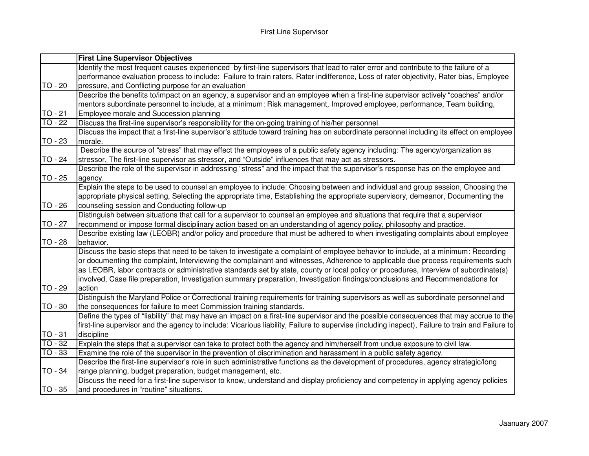|           | <b>First Line Supervisor Objectives</b>                                                                                                         |
|-----------|-------------------------------------------------------------------------------------------------------------------------------------------------|
|           | Identify the most frequent causes experienced by first-line supervisors that lead to rater error and contribute to the failure of a             |
|           | performance evaluation process to include: Failure to train raters, Rater indifference, Loss of rater objectivity, Rater bias, Employee         |
| TO - 20   | pressure, and Conflicting purpose for an evaluation                                                                                             |
|           | Describe the benefits to/impact on an agency, a supervisor and an employee when a first-line supervisor actively "coaches" and/or               |
|           | mentors subordinate personnel to include, at a minimum: Risk management, Improved employee, performance, Team building,                         |
| $TO - 21$ | Employee morale and Succession planning                                                                                                         |
| TO - 22   | Discuss the first-line supervisor's responsibility for the on-going training of his/her personnel.                                              |
|           | Discuss the impact that a first-line supervisor's attitude toward training has on subordinate personnel including its effect on employee        |
| TO - 23   | morale.                                                                                                                                         |
|           | Describe the source of "stress" that may effect the employees of a public safety agency including: The agency/organization as                   |
| TO - 24   | stressor, The first-line supervisor as stressor, and "Outside" influences that may act as stressors.                                            |
|           | Describe the role of the supervisor in addressing "stress" and the impact that the supervisor's response has on the employee and                |
| TO - 25   | agency.                                                                                                                                         |
|           | Explain the steps to be used to counsel an employee to include: Choosing between and individual and group session, Choosing the                 |
|           | appropriate physical setting, Selecting the appropriate time, Establishing the appropriate supervisory, demeanor, Documenting the               |
| TO - 26   | counseling session and Conducting follow-up                                                                                                     |
|           | Distinguish between situations that call for a supervisor to counsel an employee and situations that require that a supervisor                  |
| TO - 27   | recommend or impose formal disciplinary action based on an understanding of agency policy, philosophy and practice.                             |
|           | Describe existing law (LEOBR) and/or policy and procedure that must be adhered to when investigating complaints about employee                  |
| TO - 28   | behavior.                                                                                                                                       |
|           | Discuss the basic steps that need to be taken to investigate a complaint of employee behavior to include, at a minimum: Recording               |
|           | or documenting the complaint, Interviewing the complainant and witnesses, Adherence to applicable due process requirements such                 |
|           | as LEOBR, labor contracts or administrative standards set by state, county or local policy or procedures, Interview of subordinate(s)           |
|           | involved, Case file preparation, Investigation summary preparation, Investigation findings/conclusions and Recommendations for                  |
| TO - 29   | action                                                                                                                                          |
|           | Distinguish the Maryland Police or Correctional training requirements for training supervisors as well as subordinate personnel and             |
| $TO - 30$ | the consequences for failure to meet Commission training standards.                                                                             |
|           | Define the types of "liability" that may have an impact on a first-line supervisor and the possible consequences that may accrue to the         |
|           | first-line supervisor and the agency to include: Vicarious liability, Failure to supervise (including inspect), Failure to train and Failure to |
| $TO - 31$ | discipline                                                                                                                                      |
| $TO - 32$ | Explain the steps that a supervisor can take to protect both the agency and him/herself from undue exposure to civil law.                       |
| TO - 33   | Examine the role of the supervisor in the prevention of discrimination and harassment in a public safety agency.                                |
|           | Describe the first-line supervisor's role in such administrative functions as the development of procedures, agency strategic/long              |
| TO - 34   | range planning, budget preparation, budget management, etc.                                                                                     |
|           | Discuss the need for a first-line supervisor to know, understand and display proficiency and competency in applying agency policies             |
|           |                                                                                                                                                 |